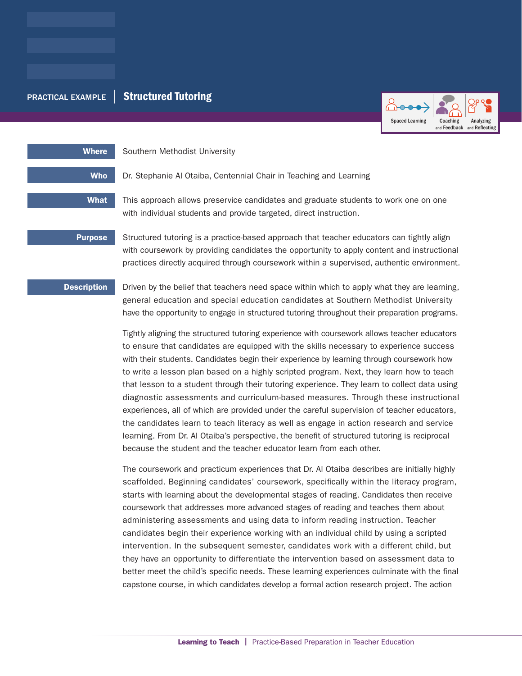# PRACTICAL EXAMPLE | Structured Tutoring



Where Southern Methodist University

Who Dr. Stephanie Al Otaiba, Centennial Chair in Teaching and Learning

What This approach allows preservice candidates and graduate students to work one on one with individual students and provide targeted, direct instruction.

**Purpose** Structured tutoring is a practice-based approach that teacher educators can tightly align with coursework by providing candidates the opportunity to apply content and instructional practices directly acquired through coursework within a supervised, authentic environment.

**Description** Driven by the belief that teachers need space within which to apply what they are learning, general education and special education candidates at Southern Methodist University have the opportunity to engage in structured tutoring throughout their preparation programs.

> Tightly aligning the structured tutoring experience with coursework allows teacher educators to ensure that candidates are equipped with the skills necessary to experience success with their students. Candidates begin their experience by learning through coursework how to write a lesson plan based on a highly scripted program. Next, they learn how to teach that lesson to a student through their tutoring experience. They learn to collect data using diagnostic assessments and curriculum-based measures. Through these instructional experiences, all of which are provided under the careful supervision of teacher educators, the candidates learn to teach literacy as well as engage in action research and service learning. From Dr. Al Otaiba's perspective, the benefit of structured tutoring is reciprocal because the student and the teacher educator learn from each other.

> The coursework and practicum experiences that Dr. Al Otaiba describes are initially highly scaffolded. Beginning candidates' coursework, specifically within the literacy program, starts with learning about the developmental stages of reading. Candidates then receive coursework that addresses more advanced stages of reading and teaches them about administering assessments and using data to inform reading instruction. Teacher candidates begin their experience working with an individual child by using a scripted intervention. In the subsequent semester, candidates work with a different child, but they have an opportunity to differentiate the intervention based on assessment data to better meet the child's specific needs. These learning experiences culminate with the final capstone course, in which candidates develop a formal action research project. The action